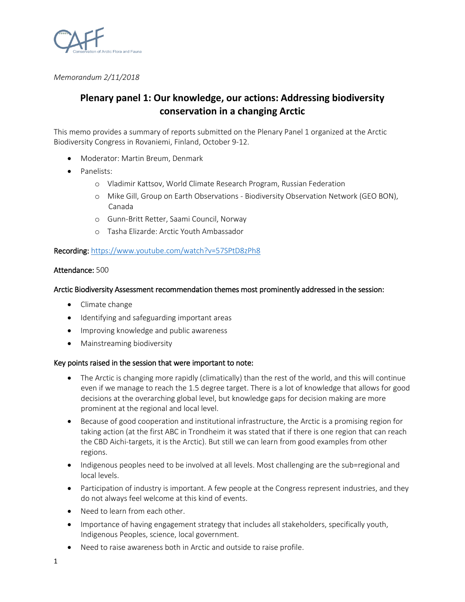

*Memorandum 2/11/2018*

# **Plenary panel 1: Our knowledge, our actions: Addressing biodiversity conservation in a changing Arctic**

This memo provides a summary of reports submitted on the Plenary Panel 1 organized at the Arctic Biodiversity Congress in Rovaniemi, Finland, October 9-12.

- Moderator: Martin Breum, Denmark
- Panelists:
	- o Vladimir Kattsov, World Climate Research Program, Russian Federation
	- o Mike Gill, Group on Earth Observations Biodiversity Observation Network (GEO BON), Canada
	- o Gunn-Britt Retter, Saami Council, Norway
	- o Tasha Elizarde: Arctic Youth Ambassador

## Recording:<https://www.youtube.com/watch?v=57SPtD8zPh8>

## Attendance: 500

## Arctic Biodiversity Assessment recommendation themes most prominently addressed in the session:

- Climate change
- Identifying and safeguarding important areas
- Improving knowledge and public awareness
- Mainstreaming biodiversity

## Key points raised in the session that were important to note:

- The Arctic is changing more rapidly (climatically) than the rest of the world, and this will continue even if we manage to reach the 1.5 degree target. There is a lot of knowledge that allows for good decisions at the overarching global level, but knowledge gaps for decision making are more prominent at the regional and local level.
- Because of good cooperation and institutional infrastructure, the Arctic is a promising region for taking action (at the first ABC in Trondheim it was stated that if there is one region that can reach the CBD Aichi-targets, it is the Arctic). But still we can learn from good examples from other regions.
- Indigenous peoples need to be involved at all levels. Most challenging are the sub=regional and local levels.
- Participation of industry is important. A few people at the Congress represent industries, and they do not always feel welcome at this kind of events.
- Need to learn from each other.
- Importance of having engagement strategy that includes all stakeholders, specifically youth, Indigenous Peoples, science, local government.
- Need to raise awareness both in Arctic and outside to raise profile.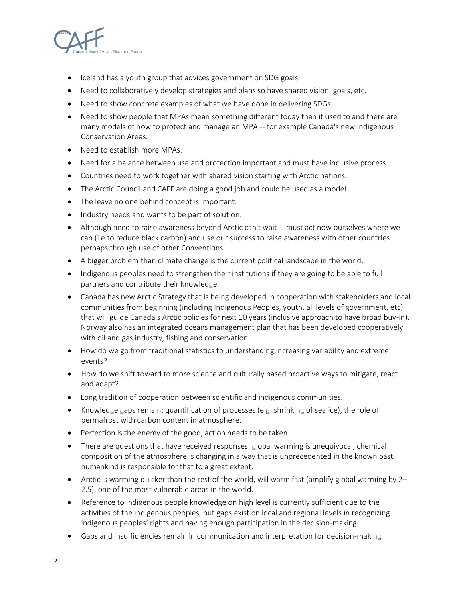

- Iceland has a youth group that advices government on SDG goals.
- Need to collaboratively develop strategies and plans so have shared vision, goals, etc.
- Need to show concrete examples of what we have done in delivering SDGs.
- Need to show people that MPAs mean something different today than it used to and there are many models of how to protect and manage an MPA -- for example Canada's new Indigenous Conservation Areas.
- Need to establish more MPAs.
- Need for a balance between use and protection important and must have inclusive process.
- Countries need to work together with shared vision starting with Arctic nations.
- The Arctic Council and CAFF are doing a good job and could be used as a model.
- The leave no one behind concept is important.
- Industry needs and wants to be part of solution.
- Although need to raise awareness beyond Arctic can't wait -- must act now ourselves where we can (i.e.to reduce black carbon) and use our success to raise awareness with other countries perhaps through use of other Conventions..
- A bigger problem than climate change is the current political landscape in the world.
- Indigenous peoples need to strengthen their institutions if they are going to be able to full partners and contribute their knowledge.
- Canada has new Arctic Strategy that is being developed in cooperation with stakeholders and local communities from beginning (including Indigenous Peoples, youth, all levels of government, etc) that will guide Canada's Arctic policies for next 10 years (inclusive approach to have broad buy-in). Norway also has an integrated oceans management plan that has been developed cooperatively with oil and gas industry, fishing and conservation.
- How do we go from traditional statistics to understanding increasing variability and extreme events?
- How do we shift toward to more science and culturally based proactive ways to mitigate, react and adapt?
- Long tradition of cooperation between scientific and indigenous communities.
- Knowledge gaps remain: quantification of processes (e.g. shrinking of sea ice), the role of permafrost with carbon content in atmosphere.
- Perfection is the enemy of the good, action needs to be taken.
- There are questions that have received responses: global warming is unequivocal, chemical composition of the atmosphere is changing in a way that is unprecedented in the known past, humankind is responsible for that to a great extent.
- Arctic is warming quicker than the rest of the world, will warm fast (amplify global warming by 2– 2.5), one of the most vulnerable areas in the world.
- Reference to indigenous people knowledge on high level is currently sufficient due to the activities of the indigenous peoples, but gaps exist on local and regional levels in recognizing indigenous peoples' rights and having enough participation in the decision-making.
- Gaps and insufficiencies remain in communication and interpretation for decision-making.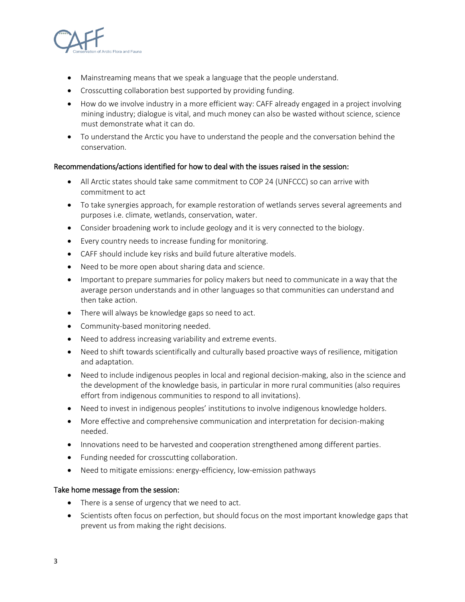

- Mainstreaming means that we speak a language that the people understand.
- Crosscutting collaboration best supported by providing funding.
- How do we involve industry in a more efficient way: CAFF already engaged in a project involving mining industry; dialogue is vital, and much money can also be wasted without science, science must demonstrate what it can do.
- To understand the Arctic you have to understand the people and the conversation behind the conservation.

## Recommendations/actions identified for how to deal with the issues raised in the session:

- All Arctic states should take same commitment to COP 24 (UNFCCC) so can arrive with commitment to act
- To take synergies approach, for example restoration of wetlands serves several agreements and purposes i.e. climate, wetlands, conservation, water.
- Consider broadening work to include geology and it is very connected to the biology.
- Every country needs to increase funding for monitoring.
- CAFF should include key risks and build future alterative models.
- Need to be more open about sharing data and science.
- Important to prepare summaries for policy makers but need to communicate in a way that the average person understands and in other languages so that communities can understand and then take action.
- There will always be knowledge gaps so need to act.
- Community-based monitoring needed.
- Need to address increasing variability and extreme events.
- Need to shift towards scientifically and culturally based proactive ways of resilience, mitigation and adaptation.
- Need to include indigenous peoples in local and regional decision-making, also in the science and the development of the knowledge basis, in particular in more rural communities (also requires effort from indigenous communities to respond to all invitations).
- Need to invest in indigenous peoples' institutions to involve indigenous knowledge holders.
- More effective and comprehensive communication and interpretation for decision-making needed.
- Innovations need to be harvested and cooperation strengthened among different parties.
- Funding needed for crosscutting collaboration.
- Need to mitigate emissions: energy-efficiency, low-emission pathways

## Take home message from the session:

- There is a sense of urgency that we need to act.
- Scientists often focus on perfection, but should focus on the most important knowledge gaps that prevent us from making the right decisions.